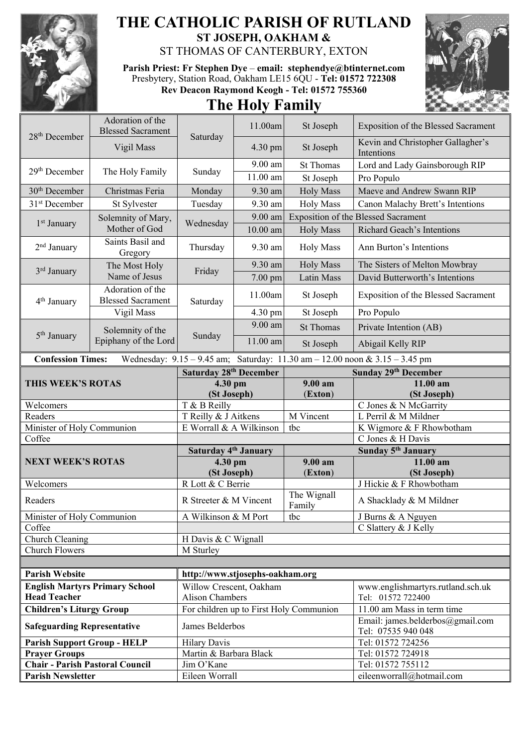

## **THE CATHOLIC PARISH OF RUTLAND ST JOSEPH, OAKHAM &**  ST THOMAS OF CANTERBURY, EXTON

**Parish Priest: Fr Stephen Dye** – **[email: stephendye@btinternet.com](mailto:email:%20%20stephendye@btinternet.com)** Presbytery, Station Road, Oakham LE15 6QU - **Tel: 01572 722308 Rev Deacon Raymond Keogh - Tel: 01572 755360**





| 28 <sup>th</sup> December                                          | Adoration of the<br><b>Blessed Sacrament</b> | Saturday                           | 11.00am    | St Joseph                               | <b>Exposition of the Blessed Sacrament</b>                                  |
|--------------------------------------------------------------------|----------------------------------------------|------------------------------------|------------|-----------------------------------------|-----------------------------------------------------------------------------|
|                                                                    | Vigil Mass                                   |                                    | 4.30 pm    | St Joseph                               | Kevin and Christopher Gallagher's<br>Intentions                             |
| 29 <sup>th</sup> December                                          | The Holy Family                              | Sunday                             | 9.00 am    | <b>St Thomas</b>                        | Lord and Lady Gainsborough RIP                                              |
|                                                                    |                                              |                                    | 11.00 am   | St Joseph                               | Pro Populo                                                                  |
| 30 <sup>th</sup> December                                          | Christmas Feria                              | Monday                             | 9.30 am    | <b>Holy Mass</b>                        | Maeve and Andrew Swann RIP                                                  |
| 31 <sup>st</sup> December                                          | St Sylvester                                 | Tuesday                            | 9.30 am    | <b>Holy Mass</b>                        | Canon Malachy Brett's Intentions                                            |
| 1 <sup>st</sup> January                                            | Solemnity of Mary,<br>Mother of God          | Wednesday                          | 9.00 am    |                                         | <b>Exposition of the Blessed Sacrament</b>                                  |
|                                                                    |                                              |                                    | $10.00$ am | <b>Holy Mass</b>                        | Richard Geach's Intentions                                                  |
| 2 <sup>nd</sup> January                                            | Saints Basil and<br>Gregory                  | Thursday                           | 9.30 am    | <b>Holy Mass</b>                        | Ann Burton's Intentions                                                     |
| 3 <sup>rd</sup> January                                            | The Most Holy<br>Name of Jesus               | Friday                             | 9.30 am    | <b>Holy Mass</b>                        | The Sisters of Melton Mowbray                                               |
|                                                                    |                                              |                                    | $7.00$ pm  | Latin Mass                              | David Butterworth's Intentions                                              |
| 4 <sup>th</sup> January                                            | Adoration of the<br><b>Blessed Sacrament</b> | Saturday                           | 11.00am    | St Joseph                               | Exposition of the Blessed Sacrament                                         |
|                                                                    | Vigil Mass                                   |                                    | 4.30 pm    | St Joseph                               | Pro Populo                                                                  |
|                                                                    | Solemnity of the<br>Epiphany of the Lord     | Sunday                             | 9.00 am    | <b>St Thomas</b>                        | Private Intention (AB)                                                      |
| 5 <sup>th</sup> January                                            |                                              |                                    | 11.00 am   | St Joseph                               | Abigail Kelly RIP                                                           |
| <b>Confession Times:</b>                                           |                                              |                                    |            |                                         | Wednesday: 9.15 - 9.45 am; Saturday: 11.30 am - 12.00 noon & 3.15 - 3.45 pm |
|                                                                    |                                              | Saturday 28 <sup>th</sup> December |            |                                         | Sunday 29th December                                                        |
| THIS WEEK'S ROTAS                                                  |                                              | 4.30 pm<br>(St Joseph)             |            | $9.00 a$ m<br>(Exton)                   | 11.00 am<br>(St Joseph)                                                     |
| Welcomers                                                          |                                              | T & B Reilly                       |            |                                         | C Jones & N McGarrity                                                       |
|                                                                    |                                              |                                    |            |                                         |                                                                             |
| Readers                                                            |                                              | T Reilly & J Aitkens               |            | M Vincent                               | L Perril & M Mildner                                                        |
| Minister of Holy Communion                                         |                                              | E Worrall & A Wilkinson            |            | tbc                                     | K Wigmore & F Rhowbotham                                                    |
| Coffee                                                             |                                              |                                    |            |                                         | C Jones & H Davis                                                           |
|                                                                    |                                              | Saturday 4 <sup>th</sup> January   |            |                                         | Sunday 5 <sup>th</sup> January                                              |
| <b>NEXT WEEK'S ROTAS</b>                                           |                                              | 4.30 pm                            |            | 9.00 am                                 | $11.00$ am                                                                  |
| Welcomers                                                          |                                              | (St Joseph)<br>R Lott & C Berrie   |            | (Exton)                                 | (St Joseph)<br>J Hickie & F Rhowbotham                                      |
| Readers                                                            |                                              | R Streeter & M Vincent             |            | The Wignall                             | A Shacklady & M Mildner                                                     |
| Minister of Holy Communion                                         |                                              | A Wilkinson & M Port               |            | Family<br>tbc                           | J Burns & A Nguyen                                                          |
| Coffee                                                             |                                              |                                    |            |                                         | C Slattery & J Kelly                                                        |
| Church Cleaning                                                    |                                              | H Davis & C Wignall                |            |                                         |                                                                             |
| <b>Church Flowers</b>                                              |                                              | M Sturley                          |            |                                         |                                                                             |
|                                                                    |                                              |                                    |            |                                         |                                                                             |
| <b>Parish Website</b>                                              |                                              | http://www.stjosephs-oakham.org    |            |                                         |                                                                             |
|                                                                    | <b>English Martyrs Primary School</b>        | Willow Crescent, Oakham            |            |                                         | www.englishmartyrs.rutland.sch.uk                                           |
| <b>Head Teacher</b>                                                |                                              | <b>Alison Chambers</b>             |            |                                         | Tel: 01572 722400                                                           |
| <b>Children's Liturgy Group</b>                                    |                                              |                                    |            | For children up to First Holy Communion | 11.00 am Mass in term time                                                  |
| <b>Safeguarding Representative</b>                                 |                                              | James Belderbos                    |            |                                         | Email: james.belderbos@gmail.com<br>Tel: 07535 940 048                      |
| <b>Parish Support Group - HELP</b>                                 |                                              | <b>Hilary Davis</b>                |            |                                         | Tel: 01572 724256                                                           |
| <b>Prayer Groups</b>                                               |                                              | Martin & Barbara Black             |            |                                         | Tel: 01572 724918                                                           |
| <b>Chair - Parish Pastoral Council</b><br><b>Parish Newsletter</b> |                                              | Jim O'Kane<br>Eileen Worrall       |            |                                         | Tel: 01572 755112<br>eileenworrall@hotmail.com                              |